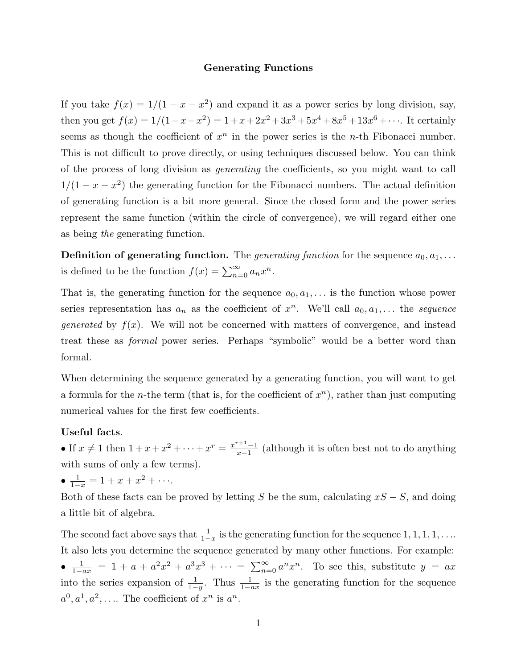## **Generating Functions**

If you take  $f(x)=1/(1 - x - x^2)$  and expand it as a power series by long division, say, then you get  $f(x)=1/(1-x-x^2)=1+x+2x^2+3x^3+5x^4+8x^5+13x^6+\cdots$ . It certainly seems as though the coefficient of  $x^n$  in the power series is the *n*-th Fibonacci number. This is not difficult to prove directly, or using techniques discussed below. You can think of the process of long division as generating the coefficients, so you might want to call  $1/(1 - x - x^2)$  the generating function for the Fibonacci numbers. The actual definition of generating function is a bit more general. Since the closed form and the power series represent the same function (within the circle of convergence), we will regard either one as being the generating function.

**Definition of generating function.** The *generating function* for the sequence  $a_0, a_1, \ldots$ is defined to be the function  $f(x) = \sum_{n=0}^{\infty} a_n x^n$ .

That is, the generating function for the sequence  $a_0, a_1, \ldots$  is the function whose power series representation has  $a_n$  as the coefficient of  $x^n$ . We'll call  $a_0, a_1, \ldots$  the sequence *generated* by  $f(x)$ . We will not be concerned with matters of convergence, and instead treat these as formal power series. Perhaps "symbolic" would be a better word than formal.

When determining the sequence generated by a generating function, you will want to get a formula for the *n*-the term (that is, for the coefficient of  $x^n$ ), rather than just computing numerical values for the first few coefficients.

## **Useful facts**.

• If  $x \neq 1$  then  $1 + x + x^2 + \cdots + x^r = \frac{x^{r+1}-1}{x-1}$  (although it is often best not to do anything with sums of only a few terms).

•  $\frac{1}{1-x} = 1 + x + x^2 + \cdots$ 

Both of these facts can be proved by letting S be the sum, calculating  $xS - S$ , and doing a little bit of algebra.

The second fact above says that  $\frac{1}{1-x}$  is the generating function for the sequence  $1, 1, 1, 1, \ldots$ It also lets you determine the sequence generated by many other functions. For example: •  $\frac{1}{1-ax} = 1 + a + a^2x^2 + a^3x^3 + \cdots = \sum_{n=0}^{\infty} a^n x^n$ . To see this, substitute  $y = ax$ into the series expansion of  $\frac{1}{1-y}$ . Thus  $\frac{1}{1-ax}$  is the generating function for the sequence  $a^0, a^1, a^2, \ldots$  The coefficient of  $x^n$  is  $a^n$ .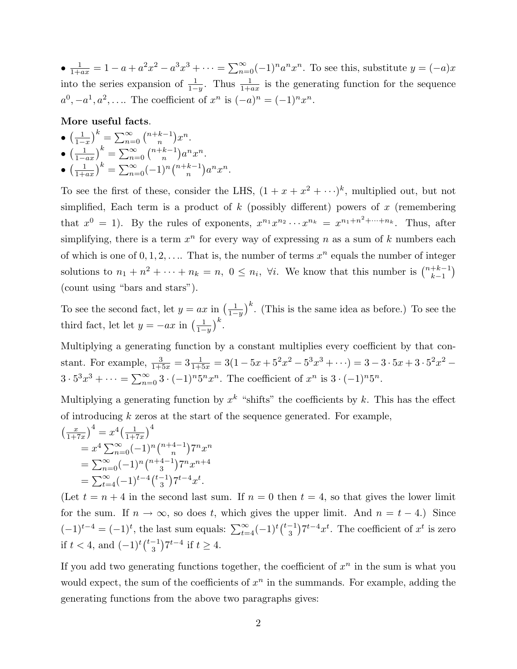•  $\frac{1}{1+ax} = 1 - a + a^2x^2 - a^3x^3 + \cdots = \sum_{n=0}^{\infty} (-1)^n a^n x^n$ . To see this, substitute  $y = (-a)x$ into the series expansion of  $\frac{1}{1-y}$ . Thus  $\frac{1}{1+ax}$  is the generating function for the sequence  $a^0, -a^1, a^2, \ldots$  The coefficient of  $x^n$  is  $(-a)^n = (-1)^n x^n$ .

**More useful facts**.

• 
$$
\left(\frac{1}{1-x}\right)^k = \sum_{n=0}^{\infty} {n+k-1 \choose n} x^n
$$
.  
\n•  $\left(\frac{1}{1-ax}\right)^k = \sum_{n=0}^{\infty} {n+k-1 \choose n} a^n x^n$ .  
\n•  $\left(\frac{1}{1+ax}\right)^k = \sum_{n=0}^{\infty} (-1)^n {n+k-1 \choose n} a^n x^n$ .

To see the first of these, consider the LHS,  $(1 + x + x^2 + \cdots)^k$ , multiplied out, but not simplified, Each term is a product of  $k$  (possibly different) powers of  $x$  (remembering that  $x^0 = 1$ ). By the rules of exponents,  $x^{n_1} x^{n_2} \cdots x^{n_k} = x^{n_1 + n^2 + \cdots + n_k}$ . Thus, after simplifying, there is a term  $x^n$  for every way of expressing n as a sum of k numbers each of which is one of  $0, 1, 2, \ldots$  That is, the number of terms  $x^n$  equals the number of integer solutions to  $n_1 + n^2 + \cdots + n_k = n$ ,  $0 \leq n_i$ ,  $\forall i$ . We know that this number is  $\binom{n+k-1}{k-1}$ (count using "bars and stars").

To see the second fact, let  $y = ax$  in  $\left(\frac{1}{1-y}\right)^k$ . (This is the same idea as before.) To see the third fact, let let  $y = -ax$  in  $\left(\frac{1}{1-y}\right)^k$ .

Multiplying a generating function by a constant multiplies every coefficient by that constant. For example,  $\frac{3}{1+5x} = 3\frac{1}{1+5x} = 3(1-5x+5^2x^2-5^3x^3+\cdots) = 3-3\cdot 5x+3\cdot 5^2x^2 3 \cdot 5^3 x^3 + \cdots = \sum_{n=0}^{\infty} 3 \cdot (-1)^n 5^n x^n$ . The coefficient of  $x^n$  is  $3 \cdot (-1)^n 5^n$ .

Multiplying a generating function by  $x^k$  "shifts" the coefficients by k. This has the effect of introducing  $k$  zeros at the start of the sequence generated. For example,

$$
\left(\frac{x}{1+7x}\right)^4 = x^4 \left(\frac{1}{1+7x}\right)^4
$$
  
=  $x^4 \sum_{n=0}^{\infty} (-1)^n {n+4-1 \choose n} 7^n x^n$   
=  $\sum_{n=0}^{\infty} (-1)^n {n+4-1 \choose 3} 7^n x^{n+4}$   
=  $\sum_{t=4}^{\infty} (-1)^{t-4} {t-1 \choose 3} 7^{t-4} x^t.$ 

(Let  $t = n + 4$  in the second last sum. If  $n = 0$  then  $t = 4$ , so that gives the lower limit for the sum. If  $n \to \infty$ , so does t, which gives the upper limit. And  $n = t - 4$ .) Since  $(-1)^{t-4} = (-1)^t$ , the last sum equals:  $\sum_{t=4}^{\infty} (-1)^t {t-1 \choose 3} 7^{t-4} x^t$ . The coefficient of  $x^t$  is zero if  $t < 4$ , and  $(-1)^t \binom{t-1}{3} 7^{t-4}$  if  $t \ge 4$ .

If you add two generating functions together, the coefficient of  $x^n$  in the sum is what you would expect, the sum of the coefficients of  $x^n$  in the summands. For example, adding the generating functions from the above two paragraphs gives: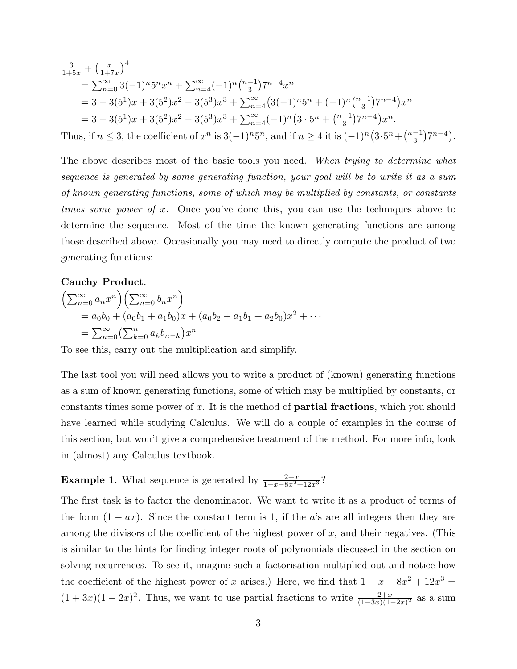$$
\frac{3}{1+5x} + \left(\frac{x}{1+7x}\right)^4
$$
\n
$$
= \sum_{n=0}^{\infty} 3(-1)^n 5^n x^n + \sum_{n=4}^{\infty} (-1)^n \binom{n-1}{3} 7^{n-4} x^n
$$
\n
$$
= 3 - 3(5^1)x + 3(5^2)x^2 - 3(5^3)x^3 + \sum_{n=4}^{\infty} \left(3(-1)^n 5^n + (-1)^n \binom{n-1}{3} 7^{n-4}\right) x^n
$$
\n
$$
= 3 - 3(5^1)x + 3(5^2)x^2 - 3(5^3)x^3 + \sum_{n=4}^{\infty} (-1)^n \left(3 \cdot 5^n + \binom{n-1}{3} 7^{n-4}\right) x^n.
$$
\n

Thus, if  $n \leq 3$ , the coefficient of  $x^n$  is  $3(-1)^n 5^n$ , and if  $n \geq 4$  it is  $(-1)^n (3 \cdot 5^n + \binom{n-1}{3} 7^{n-4})$ .

The above describes most of the basic tools you need. When trying to determine what sequence is generated by some generating function, your goal will be to write it as a sum of known generating functions, some of which may be multiplied by constants, or constants times some power of x. Once you've done this, you can use the techniques above to determine the sequence. Most of the time the known generating functions are among those described above. Occasionally you may need to directly compute the product of two generating functions:

## **Cauchy Product**.

$$
\begin{aligned}\n&\left(\sum_{n=0}^{\infty} a_n x^n \right) \left(\sum_{n=0}^{\infty} b_n x^n \right) \\
&= a_0 b_0 + (a_0 b_1 + a_1 b_0) x + (a_0 b_2 + a_1 b_1 + a_2 b_0) x^2 + \cdots \\
&= \sum_{n=0}^{\infty} \left(\sum_{k=0}^n a_k b_{n-k}\right) x^n\n\end{aligned}
$$

To see this, carry out the multiplication and simplify.

The last tool you will need allows you to write a product of (known) generating functions as a sum of known generating functions, some of which may be multiplied by constants, or constants times some power of x. It is the method of **partial fractions**, which you should have learned while studying Calculus. We will do a couple of examples in the course of this section, but won't give a comprehensive treatment of the method. For more info, look in (almost) any Calculus textbook.

**Example 1**. What sequence is generated by  $\frac{2+x}{1-x-8x^2+12x^3}$ ?

The first task is to factor the denominator. We want to write it as a product of terms of the form  $(1 - ax)$ . Since the constant term is 1, if the a's are all integers then they are among the divisors of the coefficient of the highest power of  $x$ , and their negatives. (This is similar to the hints for finding integer roots of polynomials discussed in the section on solving recurrences. To see it, imagine such a factorisation multiplied out and notice how the coefficient of the highest power of x arises.) Here, we find that  $1 - x - 8x^2 + 12x^3 =$  $(1+3x)(1-2x)^2$ . Thus, we want to use partial fractions to write  $\frac{2+x}{(1+3x)(1-2x)^2}$  as a sum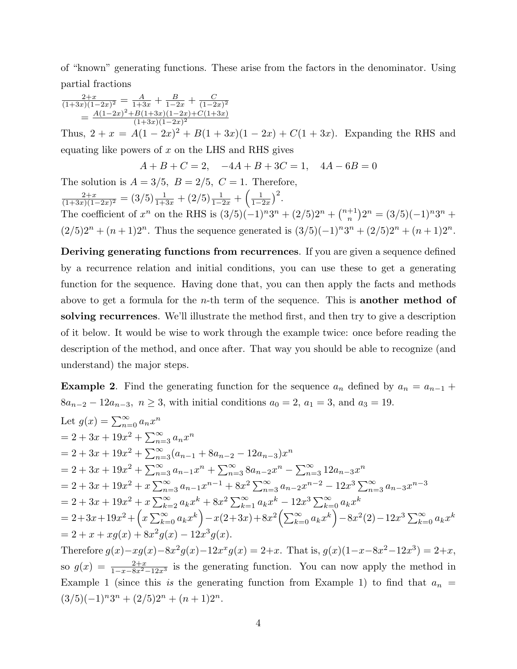of "known" generating functions. These arise from the factors in the denominator. Using partial fractions

$$
\frac{2+x}{(1+3x)(1-2x)^2} = \frac{A}{1+3x} + \frac{B}{1-2x} + \frac{C}{(1-2x)^2}
$$

$$
= \frac{A(1-2x)^2 + B(1+3x)(1-2x) + C(1+3x)}{(1+3x)(1-2x)^2}
$$

Thus,  $2 + x = A(1 - 2x)^2 + B(1 + 3x)(1 - 2x) + C(1 + 3x)$ . Expanding the RHS and equating like powers of  $x$  on the LHS and RHS gives

$$
A + B + C = 2, \quad -4A + B + 3C = 1, \quad 4A - 6B = 0
$$

The solution is  $A = 3/5$ ,  $B = 2/5$ ,  $C = 1$ . Therefore,  $\frac{2+x}{(1+3x)(1-2x)^2} = (3/5)\frac{1}{1+3x} + (2/5)\frac{1}{1-2x} + \left(\frac{1}{1-2x}\right)$  $\frac{1}{1-2x}\Big)^2$ . The coefficient of  $x^n$  on the RHS is  $(3/5)(-1)^n 3^n + (2/5)2^n + {n+1 \choose n} 2^n = (3/5)(-1)^n 3^n +$  $(2/5)2^{n} + (n+1)2^{n}$ . Thus the sequence generated is  $(3/5)(-1)^{n}3^{n} + (2/5)2^{n} + (n+1)2^{n}$ .

**Deriving generating functions from recurrences**. If you are given a sequence defined by a recurrence relation and initial conditions, you can use these to get a generating function for the sequence. Having done that, you can then apply the facts and methods above to get a formula for the n-th term of the sequence. This is **another method of solving recurrences**. We'll illustrate the method first, and then try to give a description of it below. It would be wise to work through the example twice: once before reading the description of the method, and once after. That way you should be able to recognize (and understand) the major steps.

**Example 2**. Find the generating function for the sequence  $a_n$  defined by  $a_n = a_{n-1} + a_n$  $8a_{n-2} - 12a_{n-3}, n \ge 3$ , with initial conditions  $a_0 = 2, a_1 = 3$ , and  $a_3 = 19$ .

Let 
$$
g(x) = \sum_{n=0}^{\infty} a_n x^n
$$
  
\n
$$
= 2 + 3x + 19x^2 + \sum_{n=3}^{\infty} a_n x^n
$$
\n
$$
= 2 + 3x + 19x^2 + \sum_{n=3}^{\infty} (a_{n-1} + 8a_{n-2} - 12a_{n-3})x^n
$$
\n
$$
= 2 + 3x + 19x^2 + \sum_{n=3}^{\infty} a_{n-1} x^n + \sum_{n=3}^{\infty} 8a_{n-2} x^n - \sum_{n=3}^{\infty} 12a_{n-3} x^n
$$
\n
$$
= 2 + 3x + 19x^2 + x \sum_{n=3}^{\infty} a_{n-1} x^{n-1} + 8x^2 \sum_{n=3}^{\infty} a_{n-2} x^{n-2} - 12x^3 \sum_{n=3}^{\infty} a_{n-3} x^{n-3}
$$
\n
$$
= 2 + 3x + 19x^2 + x \sum_{k=2}^{\infty} a_k x^k + 8x^2 \sum_{k=1}^{\infty} a_k x^k - 12x^3 \sum_{k=0}^{\infty} a_k x^k
$$
\n
$$
= 2 + 3x + 19x^2 + \left(x \sum_{k=0}^{\infty} a_k x^k\right) - x(2+3x) + 8x^2 \left(\sum_{k=0}^{\infty} a_k x^k\right) - 8x^2(2) - 12x^3 \sum_{k=0}^{\infty} a_k x^k
$$
\n
$$
= 2 + x + xg(x) + 8x^2 g(x) - 12x^3 g(x).
$$
\nTherefore,  $g(x)$ ,  $g(x)$ ,  $g(x)$ ,  $g(x)$ ,  $g(x)$ ,  $g(x)$ ,  $g(x)$ ,  $g(x)$ ,  $g(x)$ ,  $g(x)$ ,  $g(x)$ ,  $g(x)$ ,  $g(x)$ ,  $g(x)$ ,  $g(x)$ ,  $g(x)$ ,  $g(x)$ ,  $g(x)$ ,  $g(x)$ ,  $g(x)$ ,  $g(x)$ ,  $g(x)$ ,  $g$ 

Therefore  $g(x)-xg(x)-8x^2g(x)-12x^xg(x) = 2+x$ . That is,  $g(x)(1-x-8x^2-12x^3) = 2+x$ , so  $g(x) = \frac{2+x}{1-x-8x^2-12x^3}$  is the generating function. You can now apply the method in Example 1 (since this is the generating function from Example 1) to find that  $a_n =$  $(3/5)(-1)^n 3^n + (2/5)2^n + (n+1)2^n$ .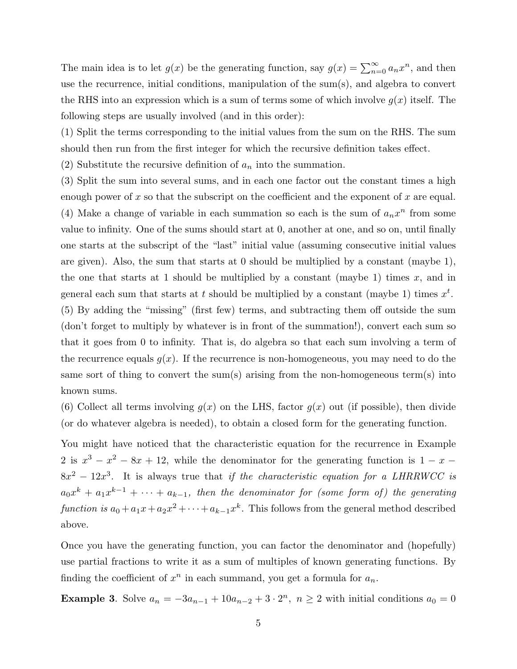The main idea is to let  $g(x)$  be the generating function, say  $g(x) = \sum_{n=0}^{\infty} a_n x^n$ , and then use the recurrence, initial conditions, manipulation of the sum(s), and algebra to convert the RHS into an expression which is a sum of terms some of which involve  $g(x)$  itself. The following steps are usually involved (and in this order):

(1) Split the terms corresponding to the initial values from the sum on the RHS. The sum should then run from the first integer for which the recursive definition takes effect.

(2) Substitute the recursive definition of  $a_n$  into the summation.

(3) Split the sum into several sums, and in each one factor out the constant times a high enough power of x so that the subscript on the coefficient and the exponent of x are equal. (4) Make a change of variable in each summation so each is the sum of  $a_nx^n$  from some value to infinity. One of the sums should start at 0, another at one, and so on, until finally one starts at the subscript of the "last" initial value (assuming consecutive initial values are given). Also, the sum that starts at  $0$  should be multiplied by a constant (maybe 1), the one that starts at 1 should be multiplied by a constant (maybe 1) times  $x$ , and in general each sum that starts at t should be multiplied by a constant (maybe 1) times  $x^t$ . (5) By adding the "missing" (first few) terms, and subtracting them off outside the sum (don't forget to multiply by whatever is in front of the summation!), convert each sum so that it goes from 0 to infinity. That is, do algebra so that each sum involving a term of the recurrence equals  $g(x)$ . If the recurrence is non-homogeneous, you may need to do the same sort of thing to convert the sum(s) arising from the non-homogeneous term(s) into known sums.

(6) Collect all terms involving  $g(x)$  on the LHS, factor  $g(x)$  out (if possible), then divide (or do whatever algebra is needed), to obtain a closed form for the generating function.

You might have noticed that the characteristic equation for the recurrence in Example 2 is  $x^3 - x^2 - 8x + 12$ , while the denominator for the generating function is  $1 - x$  $8x^2 - 12x^3$ . It is always true that if the characteristic equation for a LHRRWCC is  $a_0x^k + a_1x^{k-1} + \cdots + a_{k-1}$ , then the denominator for (some form of) the generating function is  $a_0 + a_1x + a_2x^2 + \cdots + a_{k-1}x^k$ . This follows from the general method described above.

Once you have the generating function, you can factor the denominator and (hopefully) use partial fractions to write it as a sum of multiples of known generating functions. By finding the coefficient of  $x^n$  in each summand, you get a formula for  $a_n$ .

**Example 3**. Solve  $a_n = -3a_{n-1} + 10a_{n-2} + 3 \cdot 2^n$ ,  $n \ge 2$  with initial conditions  $a_0 = 0$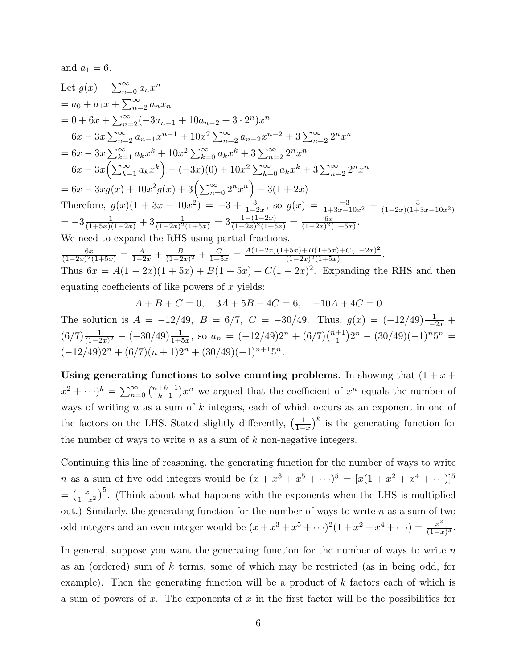and  $a_1 = 6$ .

Let 
$$
g(x) = \sum_{n=0}^{\infty} a_n x^n
$$
  
\n
$$
= a_0 + a_1 x + \sum_{n=2}^{\infty} a_n x_n
$$
\n
$$
= 0 + 6x + \sum_{n=2}^{\infty} (-3a_{n-1} + 10a_{n-2} + 3 \cdot 2^n) x^n
$$
\n
$$
= 6x - 3x \sum_{n=2}^{\infty} a_{n-1} x^{n-1} + 10x^2 \sum_{n=2}^{\infty} a_{n-2} x^{n-2} + 3 \sum_{n=2}^{\infty} 2^n x^n
$$
\n
$$
= 6x - 3x \sum_{k=1}^{\infty} a_k x^k + 10x^2 \sum_{k=0}^{\infty} a_k x^k + 3 \sum_{n=2}^{\infty} 2^n x^n
$$
\n
$$
= 6x - 3x \left( \sum_{k=1}^{\infty} a_k x^k \right) - (-3x)(0) + 10x^2 \sum_{k=0}^{\infty} a_k x^k + 3 \sum_{n=2}^{\infty} 2^n x^n
$$
\n
$$
= 6x - 3xg(x) + 10x^2g(x) + 3\left( \sum_{n=0}^{\infty} 2^n x^n \right) - 3(1 + 2x)
$$
\nTherefore,  $g(x)(1 + 3x - 10x^2) = -3 + \frac{3}{1-2x}$ , so  $g(x) = \frac{-3}{1+3x-10x^2} + \frac{3}{(1-2x)(1+3x-10x^2)}$ \n
$$
= -3\frac{1}{(1+5x)(1-2x)} + 3\frac{1}{(1-2x)^2(1+5x)} = 3\frac{1-(1-2x)}{(1-2x)^2(1+5x)} = \frac{6x}{(1-2x)^2(1+5x)}.
$$
\nWe need to expand the RHS using partial fractions.

 $\frac{6x}{(1-2x)^2(1+5x)} = \frac{A}{1-2x} + \frac{B}{(1-2x)^2} + \frac{C}{1+5x} = \frac{A(1-2x)(1+5x)+B(1+5x)+C(1-2x)^2}{(1-2x)^2(1+5x)}.$ Thus  $6x = A(1-2x)(1+5x) + B(1+5x) + C(1-2x)^2$ . Expanding the RHS and then equating coefficients of like powers of  $x$  yields:

 $A + B + C = 0$ ,  $3A + 5B - 4C = 6$ ,  $-10A + 4C = 0$ 

The solution is  $A = -12/49$ ,  $B = 6/7$ ,  $C = -30/49$ . Thus,  $g(x) = (-12/49) \frac{1}{1-2x} +$  $(6/7)\frac{1}{(1-2x)^2} + (-30/49)\frac{1}{1+5x}$ , so  $a_n = (-12/49)2^n + (6/7)\binom{n+1}{1}2^n - (30/49)(-1)^n 5^n =$  $(-12/49)2^{n} + (6/7)(n+1)2^{n} + (30/49)(-1)^{n+1}5^{n}.$ 

**Using generating functions to solve counting problems**. In showing that  $(1 + x +$  $x^2 + \cdots^k = \sum_{n=0}^{\infty} {n+k-1 \choose k-1} x^n$  we argued that the coefficient of  $x^n$  equals the number of ways of writing  $n$  as a sum of  $k$  integers, each of which occurs as an exponent in one of the factors on the LHS. Stated slightly differently,  $\left(\frac{1}{1-x}\right)^k$  is the generating function for the number of ways to write  $n$  as a sum of  $k$  non-negative integers.

Continuing this line of reasoning, the generating function for the number of ways to write *n* as a sum of five odd integers would be  $(x + x^3 + x^5 + \cdots)^5 = [x(1 + x^2 + x^4 + \cdots)]^5$  $=\left(\frac{x}{1-x^2}\right)^5$ . (Think about what happens with the exponents when the LHS is multiplied out.) Similarly, the generating function for the number of ways to write  $n$  as a sum of two odd integers and an even integer would be  $(x + x^3 + x^5 + \cdots)^2 (1 + x^2 + x^4 + \cdots) = \frac{x^2}{(1-x)^3}$ .

In general, suppose you want the generating function for the number of ways to write  $n$ as an (ordered) sum of k terms, some of which may be restricted (as in being odd, for example). Then the generating function will be a product of  $k$  factors each of which is a sum of powers of x. The exponents of x in the first factor will be the possibilities for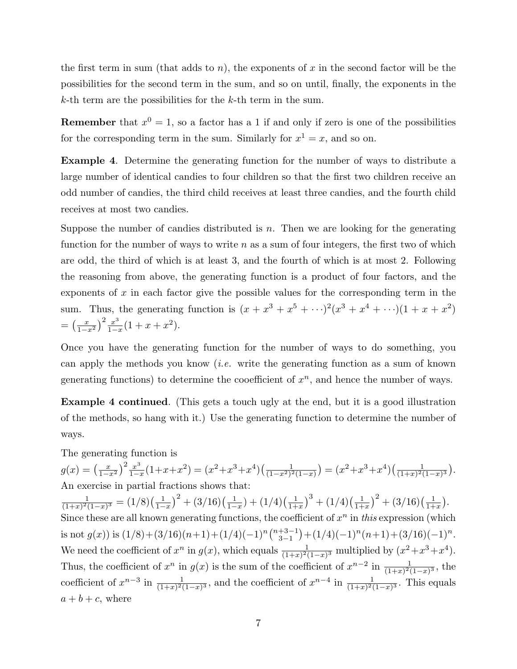the first term in sum (that adds to n), the exponents of x in the second factor will be the possibilities for the second term in the sum, and so on until, finally, the exponents in the  $k$ -th term are the possibilities for the  $k$ -th term in the sum.

**Remember** that  $x^0 = 1$ , so a factor has a 1 if and only if zero is one of the possibilities for the corresponding term in the sum. Similarly for  $x^1 = x$ , and so on.

**Example 4**. Determine the generating function for the number of ways to distribute a large number of identical candies to four children so that the first two children receive an odd number of candies, the third child receives at least three candies, and the fourth child receives at most two candies.

Suppose the number of candies distributed is  $n$ . Then we are looking for the generating function for the number of ways to write  $n$  as a sum of four integers, the first two of which are odd, the third of which is at least 3, and the fourth of which is at most 2. Following the reasoning from above, the generating function is a product of four factors, and the exponents of  $x$  in each factor give the possible values for the corresponding term in the sum. Thus, the generating function is  $(x + x^3 + x^5 + \cdots)^2 (x^3 + x^4 + \cdots)(1 + x + x^2)$  $=\left(\frac{x}{1-x^2}\right)^2 \frac{x^3}{1-x} (1+x+x^2).$ 

Once you have the generating function for the number of ways to do something, you can apply the methods you know *(i.e.* write the generating function as a sum of known generating functions) to determine the cooefficient of  $x^n$ , and hence the number of ways.

**Example 4 continued**. (This gets a touch ugly at the end, but it is a good illustration of the methods, so hang with it.) Use the generating function to determine the number of ways.

The generating function is

 $g(x) = \left(\frac{x}{1-x^2}\right)^2 \frac{x^3}{1-x} (1+x+x^2) = (x^2+x^3+x^4) \left(\frac{1}{(1-x^2)^2(1-x)}\right) = (x^2+x^3+x^4) \left(\frac{1}{(1+x)^2(1-x)^3}\right).$ An exercise in partial fractions shows that:  $\frac{1}{(1+x)^2(1-x)^3} = (1/8)\left(\frac{1}{1-x}\right)^2 + (3/16)\left(\frac{1}{1-x}\right) + (1/4)\left(\frac{1}{1+x}\right)^3 + (1/4)\left(\frac{1}{1+x}\right)^2 + (3/16)\left(\frac{1}{1+x}\right).$ Since these are all known generating functions, the coefficient of  $x^n$  in this expression (which is not  $g(x)$ ) is  $(1/8) + (3/16)(n+1) + (1/4)(-1)^n \binom{n+3-1}{3-1} + (1/4)(-1)^n (n+1) + (3/16)(-1)^n$ . We need the coefficient of  $x^n$  in  $g(x)$ , which equals  $\frac{1}{(1+x)^2(1-x)^3}$  multiplied by  $(x^2+x^3+x^4)$ . Thus, the coefficient of  $x^n$  in  $g(x)$  is the sum of the coefficient of  $x^{n-2}$  in  $\frac{1}{(1+x)^2(1-x)^3}$ , the coefficient of  $x^{n-3}$  in  $\frac{1}{(1+x)^2(1-x)^3}$ , and the coefficient of  $x^{n-4}$  in  $\frac{1}{(1+x)^2(1-x)^3}$ . This equals  $a + b + c$ , where